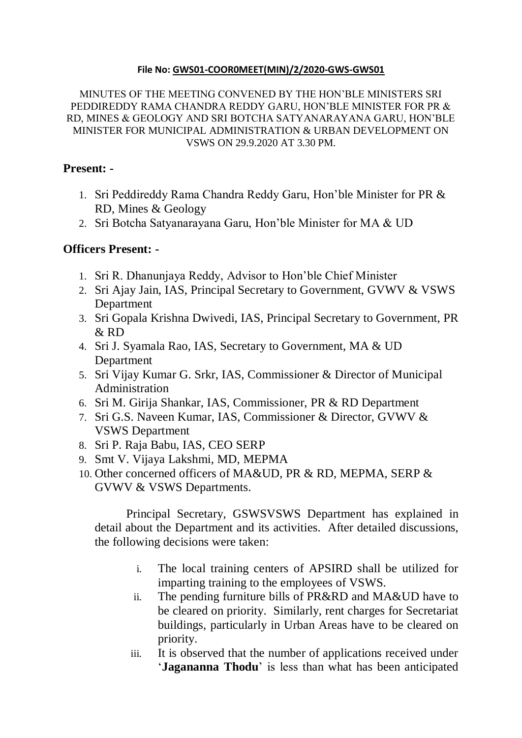## **File No: [GWS01-COOR0MEET\(MIN\)/2/2020-GWS-GWS01](https://eoffice.ap.gov.in/eFile/?x=ajClkFXW9TVKcJDG*9D5pX93T1cM3jU0)**

MINUTES OF THE MEETING CONVENED BY THE HON'BLE MINISTERS SRI PEDDIREDDY RAMA CHANDRA REDDY GARU, HON'BLE MINISTER FOR PR & RD, MINES & GEOLOGY AND SRI BOTCHA SATYANARAYANA GARU, HON'BLE MINISTER FOR MUNICIPAL ADMINISTRATION & URBAN DEVELOPMENT ON VSWS ON 29.9.2020 AT 3.30 PM.

## **Present: -**

- 1. Sri Peddireddy Rama Chandra Reddy Garu, Hon'ble Minister for PR & RD, Mines & Geology
- 2. Sri Botcha Satyanarayana Garu, Hon'ble Minister for MA & UD

## **Officers Present: -**

- 1. Sri R. Dhanunjaya Reddy, Advisor to Hon'ble Chief Minister
- 2. Sri Ajay Jain, IAS, Principal Secretary to Government, GVWV & VSWS Department
- 3. Sri Gopala Krishna Dwivedi, IAS, Principal Secretary to Government, PR  $&$  RD
- 4. Sri J. Syamala Rao, IAS, Secretary to Government, MA & UD Department
- 5. Sri Vijay Kumar G. Srkr, IAS, Commissioner & Director of Municipal Administration
- 6. Sri M. Girija Shankar, IAS, Commissioner, PR & RD Department
- 7. Sri G.S. Naveen Kumar, IAS, Commissioner & Director, GVWV & VSWS Department
- 8. Sri P. Raja Babu, IAS, CEO SERP
- 9. Smt V. Vijaya Lakshmi, MD, MEPMA
- 10. Other concerned officers of MA&UD, PR & RD, MEPMA, SERP & GVWV & VSWS Departments.

Principal Secretary, GSWSVSWS Department has explained in detail about the Department and its activities. After detailed discussions, the following decisions were taken:

- i. The local training centers of APSIRD shall be utilized for imparting training to the employees of VSWS.
- ii. The pending furniture bills of PR&RD and MA&UD have to be cleared on priority. Similarly, rent charges for Secretariat buildings, particularly in Urban Areas have to be cleared on priority.
- iii. It is observed that the number of applications received under '**Jagananna Thodu**' is less than what has been anticipated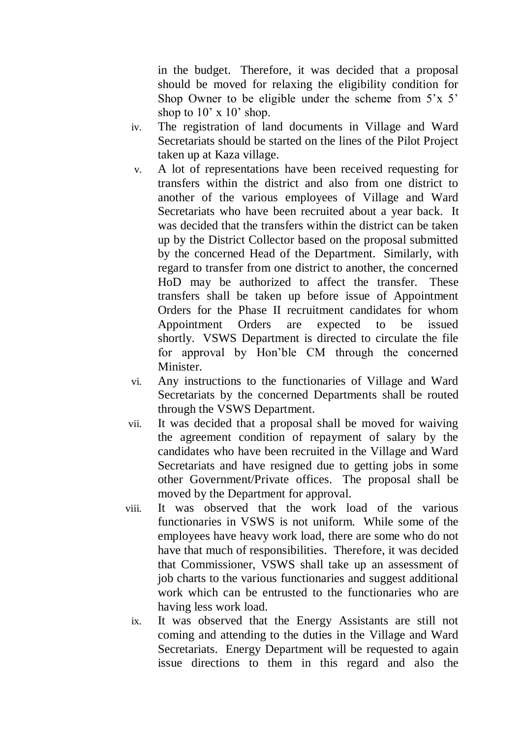in the budget. Therefore, it was decided that a proposal should be moved for relaxing the eligibility condition for Shop Owner to be eligible under the scheme from  $5'x\ 5'$ shop to  $10' \times 10'$  shop.

- iv. The registration of land documents in Village and Ward Secretariats should be started on the lines of the Pilot Project taken up at Kaza village.
- v. A lot of representations have been received requesting for transfers within the district and also from one district to another of the various employees of Village and Ward Secretariats who have been recruited about a year back. It was decided that the transfers within the district can be taken up by the District Collector based on the proposal submitted by the concerned Head of the Department. Similarly, with regard to transfer from one district to another, the concerned HoD may be authorized to affect the transfer. These transfers shall be taken up before issue of Appointment Orders for the Phase II recruitment candidates for whom Appointment Orders are expected to be issued shortly. VSWS Department is directed to circulate the file for approval by Hon'ble CM through the concerned Minister.
- vi. Any instructions to the functionaries of Village and Ward Secretariats by the concerned Departments shall be routed through the VSWS Department.
- vii. It was decided that a proposal shall be moved for waiving the agreement condition of repayment of salary by the candidates who have been recruited in the Village and Ward Secretariats and have resigned due to getting jobs in some other Government/Private offices. The proposal shall be moved by the Department for approval.
- viii. It was observed that the work load of the various functionaries in VSWS is not uniform. While some of the employees have heavy work load, there are some who do not have that much of responsibilities. Therefore, it was decided that Commissioner, VSWS shall take up an assessment of job charts to the various functionaries and suggest additional work which can be entrusted to the functionaries who are having less work load.
	- ix. It was observed that the Energy Assistants are still not coming and attending to the duties in the Village and Ward Secretariats. Energy Department will be requested to again issue directions to them in this regard and also the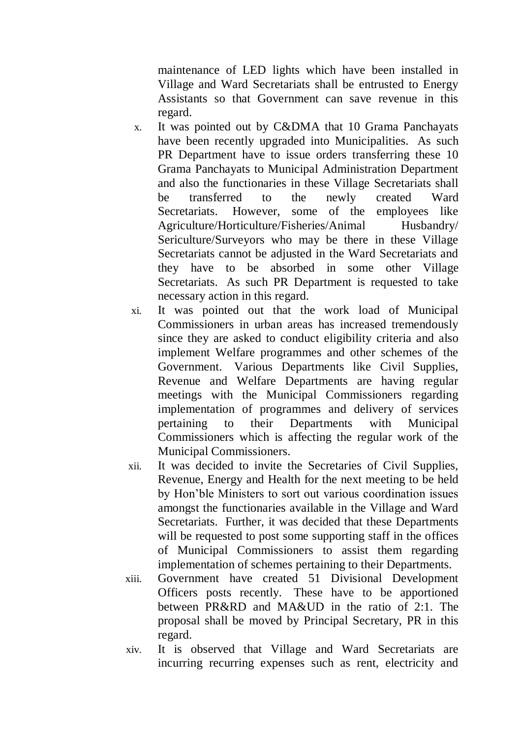maintenance of LED lights which have been installed in Village and Ward Secretariats shall be entrusted to Energy Assistants so that Government can save revenue in this regard.

- x. It was pointed out by C&DMA that 10 Grama Panchayats have been recently upgraded into Municipalities. As such PR Department have to issue orders transferring these 10 Grama Panchayats to Municipal Administration Department and also the functionaries in these Village Secretariats shall be transferred to the newly created Ward Secretariats. However, some of the employees like Agriculture/Horticulture/Fisheries/Animal Husbandry/ Sericulture/Surveyors who may be there in these Village Secretariats cannot be adjusted in the Ward Secretariats and they have to be absorbed in some other Village Secretariats. As such PR Department is requested to take necessary action in this regard.
- xi. It was pointed out that the work load of Municipal Commissioners in urban areas has increased tremendously since they are asked to conduct eligibility criteria and also implement Welfare programmes and other schemes of the Government. Various Departments like Civil Supplies, Revenue and Welfare Departments are having regular meetings with the Municipal Commissioners regarding implementation of programmes and delivery of services pertaining to their Departments with Municipal Commissioners which is affecting the regular work of the Municipal Commissioners.
- xii. It was decided to invite the Secretaries of Civil Supplies, Revenue, Energy and Health for the next meeting to be held by Hon'ble Ministers to sort out various coordination issues amongst the functionaries available in the Village and Ward Secretariats. Further, it was decided that these Departments will be requested to post some supporting staff in the offices of Municipal Commissioners to assist them regarding implementation of schemes pertaining to their Departments.
- xiii. Government have created 51 Divisional Development Officers posts recently. These have to be apportioned between PR&RD and MA&UD in the ratio of 2:1. The proposal shall be moved by Principal Secretary, PR in this regard.
- xiv. It is observed that Village and Ward Secretariats are incurring recurring expenses such as rent, electricity and